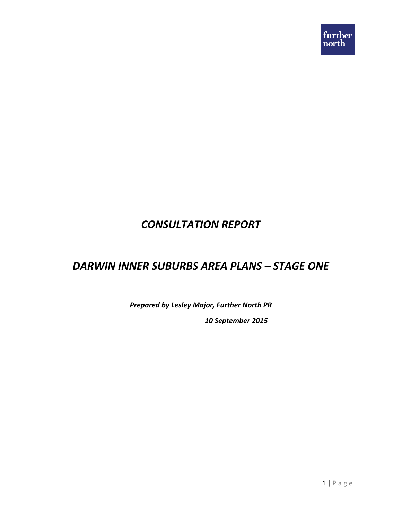# *CONSULTATION REPORT*

# *DARWIN INNER SUBURBS AREA PLANS – STAGE ONE*

*Prepared by Lesley Major, Further North PR*

*10 September 2015*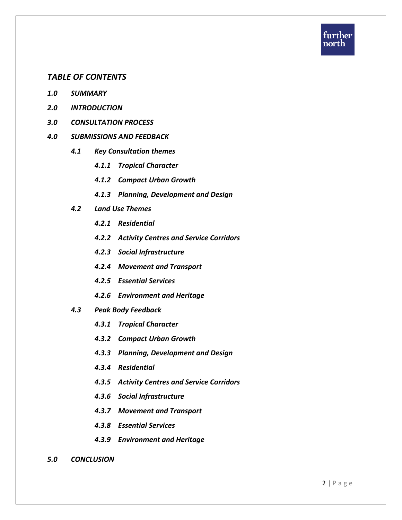

#### *TABLE OF CONTENTS*

- *1.0 SUMMARY*
- *2.0 INTRODUCTION*
- *3.0 CONSULTATION PROCESS*

#### *4.0 SUBMISSIONS AND FEEDBACK*

- *4.1 Key Consultation themes*
	- *4.1.1 Tropical Character*
	- *4.1.2 Compact Urban Growth*
	- *4.1.3 Planning, Development and Design*
- *4.2 Land Use Themes*
	- *4.2.1 Residential*
	- *4.2.2 Activity Centres and Service Corridors*
	- *4.2.3 Social Infrastructure*
	- *4.2.4 Movement and Transport*
	- *4.2.5 Essential Services*
	- *4.2.6 Environment and Heritage*
- *4.3 Peak Body Feedback*
	- *4.3.1 Tropical Character*
	- *4.3.2 Compact Urban Growth*
	- *4.3.3 Planning, Development and Design*
	- *4.3.4 Residential*
	- *4.3.5 Activity Centres and Service Corridors*
	- *4.3.6 Social Infrastructure*
	- *4.3.7 Movement and Transport*
	- *4.3.8 Essential Services*
	- *4.3.9 Environment and Heritage*
- *5.0 CONCLUSION*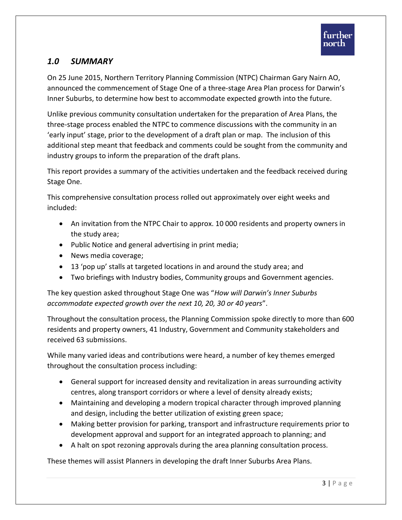# *1.0 SUMMARY*

On 25 June 2015, Northern Territory Planning Commission (NTPC) Chairman Gary Nairn AO, announced the commencement of Stage One of a three-stage Area Plan process for Darwin's Inner Suburbs, to determine how best to accommodate expected growth into the future.

Unlike previous community consultation undertaken for the preparation of Area Plans, the three-stage process enabled the NTPC to commence discussions with the community in an 'early input' stage, prior to the development of a draft plan or map. The inclusion of this additional step meant that feedback and comments could be sought from the community and industry groups to inform the preparation of the draft plans.

This report provides a summary of the activities undertaken and the feedback received during Stage One.

This comprehensive consultation process rolled out approximately over eight weeks and included:

- An invitation from the NTPC Chair to approx. 10 000 residents and property owners in the study area;
- Public Notice and general advertising in print media;
- News media coverage;
- 13 'pop up' stalls at targeted locations in and around the study area; and
- Two briefings with Industry bodies, Community groups and Government agencies.

The key question asked throughout Stage One was "*How will Darwin's Inner Suburbs accommodate expected growth over the next 10, 20, 30 or 40 years*".

Throughout the consultation process, the Planning Commission spoke directly to more than 600 residents and property owners, 41 Industry, Government and Community stakeholders and received 63 submissions.

While many varied ideas and contributions were heard, a number of key themes emerged throughout the consultation process including:

- General support for increased density and revitalization in areas surrounding activity centres, along transport corridors or where a level of density already exists;
- Maintaining and developing a modern tropical character through improved planning and design, including the better utilization of existing green space;
- Making better provision for parking, transport and infrastructure requirements prior to development approval and support for an integrated approach to planning; and
- A halt on spot rezoning approvals during the area planning consultation process.

These themes will assist Planners in developing the draft Inner Suburbs Area Plans.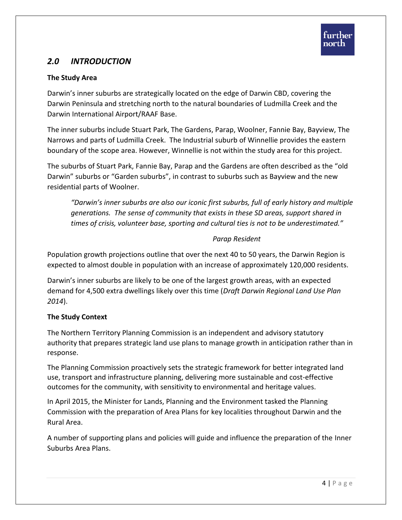# *2.0 INTRODUCTION*

## **The Study Area**

Darwin's inner suburbs are strategically located on the edge of Darwin CBD, covering the Darwin Peninsula and stretching north to the natural boundaries of Ludmilla Creek and the Darwin International Airport/RAAF Base.

The inner suburbs include Stuart Park, The Gardens, Parap, Woolner, Fannie Bay, Bayview, The Narrows and parts of Ludmilla Creek. The Industrial suburb of Winnellie provides the eastern boundary of the scope area. However, Winnellie is not within the study area for this project.

The suburbs of Stuart Park, Fannie Bay, Parap and the Gardens are often described as the "old Darwin" suburbs or "Garden suburbs", in contrast to suburbs such as Bayview and the new residential parts of Woolner.

*"Darwin's inner suburbs are also our iconic first suburbs, full of early history and multiple generations. The sense of community that exists in these SD areas, support shared in times of crisis, volunteer base, sporting and cultural ties is not to be underestimated."*

#### *Parap Resident*

Population growth projections outline that over the next 40 to 50 years, the Darwin Region is expected to almost double in population with an increase of approximately 120,000 residents.

Darwin's inner suburbs are likely to be one of the largest growth areas, with an expected demand for 4,500 extra dwellings likely over this time (*Draft Darwin Regional Land Use Plan 2014*).

## **The Study Context**

The Northern Territory Planning Commission is an independent and advisory statutory authority that prepares strategic land use plans to manage growth in anticipation rather than in response.

The Planning Commission proactively sets the strategic framework for better integrated land use, transport and infrastructure planning, delivering more sustainable and cost-effective outcomes for the community, with sensitivity to environmental and heritage values.

In April 2015, the Minister for Lands, Planning and the Environment tasked the Planning Commission with the preparation of Area Plans for key localities throughout Darwin and the Rural Area.

A number of supporting plans and policies will guide and influence the preparation of the Inner Suburbs Area Plans.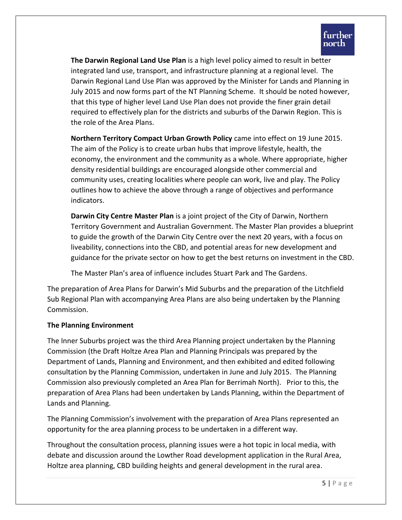**The Darwin Regional Land Use Plan** is a high level policy aimed to result in better integrated land use, transport, and infrastructure planning at a regional level. The Darwin Regional Land Use Plan was approved by the Minister for Lands and Planning in July 2015 and now forms part of the NT Planning Scheme. It should be noted however, that this type of higher level Land Use Plan does not provide the finer grain detail required to effectively plan for the districts and suburbs of the Darwin Region. This is the role of the Area Plans.

**Northern Territory Compact Urban Growth Policy** came into effect on 19 June 2015. The aim of the Policy is to create urban hubs that improve lifestyle, health, the economy, the environment and the community as a whole. Where appropriate, higher density residential buildings are encouraged alongside other commercial and community uses, creating localities where people can work, live and play. The Policy outlines how to achieve the above through a range of objectives and performance indicators.

**Darwin City Centre Master Plan** is a joint project of the City of Darwin, Northern Territory Government and Australian Government. The Master Plan provides a blueprint to guide the growth of the Darwin City Centre over the next 20 years, with a focus on liveability, connections into the CBD, and potential areas for new development and guidance for the private sector on how to get the best returns on investment in the CBD.

The Master Plan's area of influence includes Stuart Park and The Gardens.

The preparation of Area Plans for Darwin's Mid Suburbs and the preparation of the Litchfield Sub Regional Plan with accompanying Area Plans are also being undertaken by the Planning Commission.

#### **The Planning Environment**

The Inner Suburbs project was the third Area Planning project undertaken by the Planning Commission (the Draft Holtze Area Plan and Planning Principals was prepared by the Department of Lands, Planning and Environment, and then exhibited and edited following consultation by the Planning Commission, undertaken in June and July 2015. The Planning Commission also previously completed an Area Plan for Berrimah North). Prior to this, the preparation of Area Plans had been undertaken by Lands Planning, within the Department of Lands and Planning.

The Planning Commission's involvement with the preparation of Area Plans represented an opportunity for the area planning process to be undertaken in a different way.

Throughout the consultation process, planning issues were a hot topic in local media, with debate and discussion around the Lowther Road development application in the Rural Area, Holtze area planning, CBD building heights and general development in the rural area.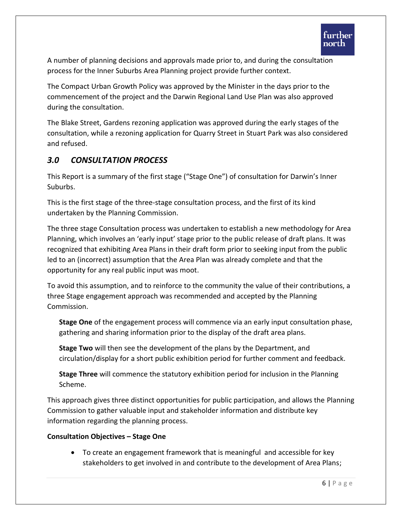A number of planning decisions and approvals made prior to, and during the consultation process for the Inner Suburbs Area Planning project provide further context.

The Compact Urban Growth Policy was approved by the Minister in the days prior to the commencement of the project and the Darwin Regional Land Use Plan was also approved during the consultation.

The Blake Street, Gardens rezoning application was approved during the early stages of the consultation, while a rezoning application for Quarry Street in Stuart Park was also considered and refused.

# *3.0 CONSULTATION PROCESS*

This Report is a summary of the first stage ("Stage One") of consultation for Darwin's Inner Suburbs.

This is the first stage of the three-stage consultation process, and the first of its kind undertaken by the Planning Commission.

The three stage Consultation process was undertaken to establish a new methodology for Area Planning, which involves an 'early input' stage prior to the public release of draft plans. It was recognized that exhibiting Area Plans in their draft form prior to seeking input from the public led to an (incorrect) assumption that the Area Plan was already complete and that the opportunity for any real public input was moot.

To avoid this assumption, and to reinforce to the community the value of their contributions, a three Stage engagement approach was recommended and accepted by the Planning Commission.

**Stage One** of the engagement process will commence via an early input consultation phase, gathering and sharing information prior to the display of the draft area plans.

**Stage Two** will then see the development of the plans by the Department, and circulation/display for a short public exhibition period for further comment and feedback.

**Stage Three** will commence the statutory exhibition period for inclusion in the Planning Scheme.

This approach gives three distinct opportunities for public participation, and allows the Planning Commission to gather valuable input and stakeholder information and distribute key information regarding the planning process.

## **Consultation Objectives – Stage One**

 To create an engagement framework that is meaningful and accessible for key stakeholders to get involved in and contribute to the development of Area Plans;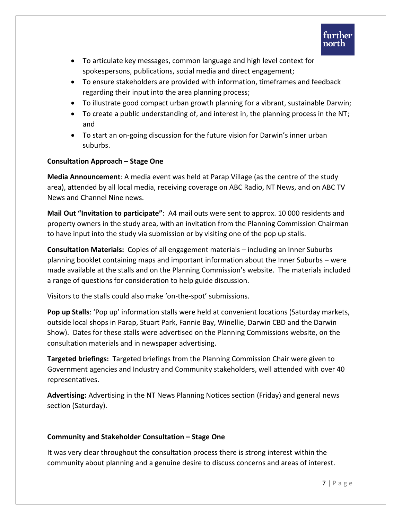

- To articulate key messages, common language and high level context for spokespersons, publications, social media and direct engagement;
- To ensure stakeholders are provided with information, timeframes and feedback regarding their input into the area planning process;
- To illustrate good compact urban growth planning for a vibrant, sustainable Darwin;
- To create a public understanding of, and interest in, the planning process in the NT; and
- To start an on-going discussion for the future vision for Darwin's inner urban suburbs.

## **Consultation Approach – Stage One**

**Media Announcement**: A media event was held at Parap Village (as the centre of the study area), attended by all local media, receiving coverage on ABC Radio, NT News, and on ABC TV News and Channel Nine news.

**Mail Out "Invitation to participate"**: A4 mail outs were sent to approx. 10 000 residents and property owners in the study area, with an invitation from the Planning Commission Chairman to have input into the study via submission or by visiting one of the pop up stalls.

**Consultation Materials:** Copies of all engagement materials – including an Inner Suburbs planning booklet containing maps and important information about the Inner Suburbs – were made available at the stalls and on the Planning Commission's website. The materials included a range of questions for consideration to help guide discussion.

Visitors to the stalls could also make 'on-the-spot' submissions.

**Pop up Stalls**: 'Pop up' information stalls were held at convenient locations (Saturday markets, outside local shops in Parap, Stuart Park, Fannie Bay, Winellie, Darwin CBD and the Darwin Show). Dates for these stalls were advertised on the Planning Commissions website, on the consultation materials and in newspaper advertising.

**Targeted briefings:** Targeted briefings from the Planning Commission Chair were given to Government agencies and Industry and Community stakeholders, well attended with over 40 representatives.

**Advertising:** Advertising in the NT News Planning Notices section (Friday) and general news section (Saturday).

#### **Community and Stakeholder Consultation – Stage One**

It was very clear throughout the consultation process there is strong interest within the community about planning and a genuine desire to discuss concerns and areas of interest.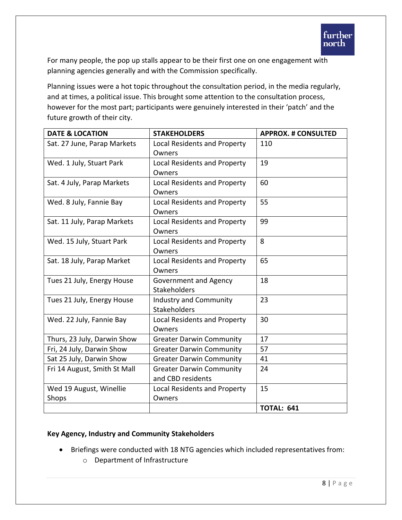For many people, the pop up stalls appear to be their first one on one engagement with planning agencies generally and with the Commission specifically.

Planning issues were a hot topic throughout the consultation period, in the media regularly, and at times, a political issue. This brought some attention to the consultation process, however for the most part; participants were genuinely interested in their 'patch' and the future growth of their city.

| <b>DATE &amp; LOCATION</b>   | <b>STAKEHOLDERS</b>             | <b>APPROX. # CONSULTED</b> |
|------------------------------|---------------------------------|----------------------------|
| Sat. 27 June, Parap Markets  | Local Residents and Property    | 110                        |
|                              | Owners                          |                            |
| Wed. 1 July, Stuart Park     | Local Residents and Property    | 19                         |
|                              | Owners                          |                            |
| Sat. 4 July, Parap Markets   | Local Residents and Property    | 60                         |
|                              | Owners                          |                            |
| Wed. 8 July, Fannie Bay      | Local Residents and Property    | 55                         |
|                              | Owners                          |                            |
| Sat. 11 July, Parap Markets  | Local Residents and Property    | 99                         |
|                              | Owners                          |                            |
| Wed. 15 July, Stuart Park    | Local Residents and Property    | 8                          |
|                              | Owners                          |                            |
| Sat. 18 July, Parap Market   | Local Residents and Property    | 65                         |
|                              | Owners                          |                            |
| Tues 21 July, Energy House   | Government and Agency           | 18                         |
|                              | Stakeholders                    |                            |
| Tues 21 July, Energy House   | <b>Industry and Community</b>   | 23                         |
|                              | Stakeholders                    |                            |
| Wed. 22 July, Fannie Bay     | Local Residents and Property    | 30                         |
|                              | Owners                          |                            |
| Thurs, 23 July, Darwin Show  | <b>Greater Darwin Community</b> | 17                         |
| Fri, 24 July, Darwin Show    | <b>Greater Darwin Community</b> | 57                         |
| Sat 25 July, Darwin Show     | <b>Greater Darwin Community</b> | 41                         |
| Fri 14 August, Smith St Mall | <b>Greater Darwin Community</b> | 24                         |
|                              | and CBD residents               |                            |
| Wed 19 August, Winellie      | Local Residents and Property    | 15                         |
| Shops                        | Owners                          |                            |
|                              |                                 | <b>TOTAL: 641</b>          |

#### **Key Agency, Industry and Community Stakeholders**

- Briefings were conducted with 18 NTG agencies which included representatives from:
	- o Department of Infrastructure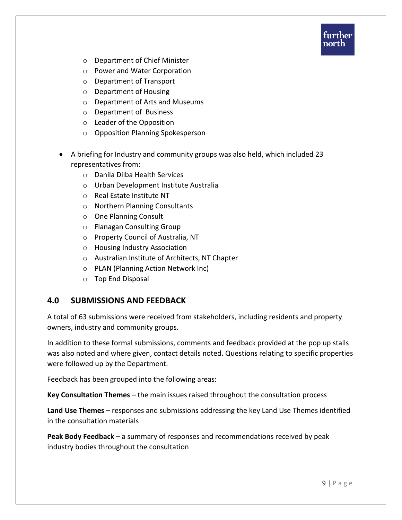

- o Department of Chief Minister
- o Power and Water Corporation
- o Department of Transport
- o Department of Housing
- o Department of Arts and Museums
- o Department of Business
- o Leader of the Opposition
- o Opposition Planning Spokesperson
- A briefing for Industry and community groups was also held, which included 23 representatives from:
	- o Danila Dilba Health Services
	- o Urban Development Institute Australia
	- o Real Estate Institute NT
	- o Northern Planning Consultants
	- o One Planning Consult
	- o Flanagan Consulting Group
	- o Property Council of Australia, NT
	- o Housing Industry Association
	- o Australian Institute of Architects, NT Chapter
	- o PLAN (Planning Action Network Inc)
	- o Top End Disposal

## **4.0 SUBMISSIONS AND FEEDBACK**

A total of 63 submissions were received from stakeholders, including residents and property owners, industry and community groups.

In addition to these formal submissions, comments and feedback provided at the pop up stalls was also noted and where given, contact details noted. Questions relating to specific properties were followed up by the Department.

Feedback has been grouped into the following areas:

**Key Consultation Themes** – the main issues raised throughout the consultation process

**Land Use Themes** – responses and submissions addressing the key Land Use Themes identified in the consultation materials

**Peak Body Feedback** – a summary of responses and recommendations received by peak industry bodies throughout the consultation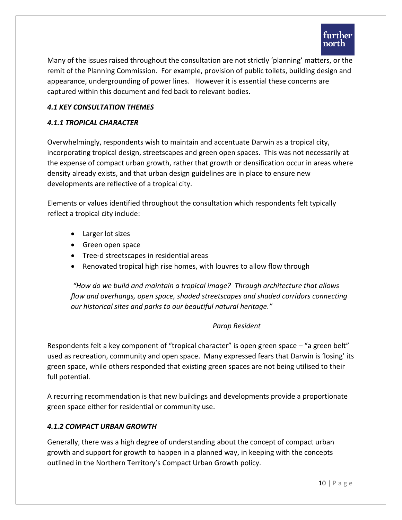

Many of the issues raised throughout the consultation are not strictly 'planning' matters, or the remit of the Planning Commission. For example, provision of public toilets, building design and appearance, undergrounding of power lines. However it is essential these concerns are captured within this document and fed back to relevant bodies.

#### *4.1 KEY CONSULTATION THEMES*

#### *4.1.1 TROPICAL CHARACTER*

Overwhelmingly, respondents wish to maintain and accentuate Darwin as a tropical city, incorporating tropical design, streetscapes and green open spaces. This was not necessarily at the expense of compact urban growth, rather that growth or densification occur in areas where density already exists, and that urban design guidelines are in place to ensure new developments are reflective of a tropical city.

Elements or values identified throughout the consultation which respondents felt typically reflect a tropical city include:

- Larger lot sizes
- Green open space
- Tree-d streetscapes in residential areas
- Renovated tropical high rise homes, with louvres to allow flow through

*"How do we build and maintain a tropical image? Through architecture that allows flow and overhangs, open space, shaded streetscapes and shaded corridors connecting our historical sites and parks to our beautiful natural heritage."* 

#### *Parap Resident*

Respondents felt a key component of "tropical character" is open green space – "a green belt" used as recreation, community and open space. Many expressed fears that Darwin is 'losing' its green space, while others responded that existing green spaces are not being utilised to their full potential.

A recurring recommendation is that new buildings and developments provide a proportionate green space either for residential or community use.

#### *4.1.2 COMPACT URBAN GROWTH*

Generally, there was a high degree of understanding about the concept of compact urban growth and support for growth to happen in a planned way, in keeping with the concepts outlined in the Northern Territory's Compact Urban Growth policy.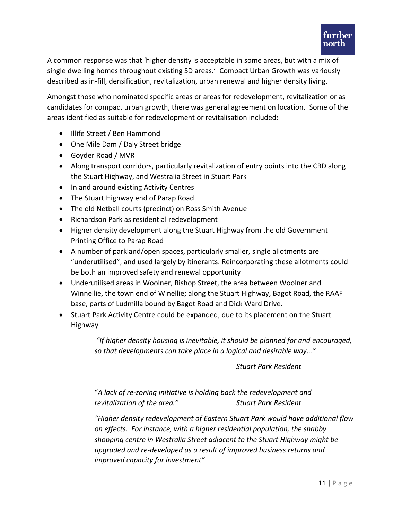A common response was that 'higher density is acceptable in some areas, but with a mix of single dwelling homes throughout existing SD areas.' Compact Urban Growth was variously described as in-fill, densification, revitalization, urban renewal and higher density living.

Amongst those who nominated specific areas or areas for redevelopment, revitalization or as candidates for compact urban growth, there was general agreement on location. Some of the areas identified as suitable for redevelopment or revitalisation included:

- Illife Street / Ben Hammond
- One Mile Dam / Daly Street bridge
- Goyder Road / MVR
- Along transport corridors, particularly revitalization of entry points into the CBD along the Stuart Highway, and Westralia Street in Stuart Park
- In and around existing Activity Centres
- The Stuart Highway end of Parap Road
- The old Netball courts (precinct) on Ross Smith Avenue
- Richardson Park as residential redevelopment
- Higher density development along the Stuart Highway from the old Government Printing Office to Parap Road
- A number of parkland/open spaces, particularly smaller, single allotments are "underutilised", and used largely by itinerants. Reincorporating these allotments could be both an improved safety and renewal opportunity
- Underutilised areas in Woolner, Bishop Street, the area between Woolner and Winnellie, the town end of Winellie; along the Stuart Highway, Bagot Road, the RAAF base, parts of Ludmilla bound by Bagot Road and Dick Ward Drive.
- Stuart Park Activity Centre could be expanded, due to its placement on the Stuart Highway

*"If higher density housing is inevitable, it should be planned for and encouraged, so that developments can take place in a logical and desirable way…"* 

*Stuart Park Resident* 

"*A lack of re-zoning initiative is holding back the redevelopment and revitalization of the area." Stuart Park Resident* 

*"Higher density redevelopment of Eastern Stuart Park would have additional flow on effects. For instance, with a higher residential population, the shabby shopping centre in Westralia Street adjacent to the Stuart Highway might be upgraded and re-developed as a result of improved business returns and improved capacity for investment"*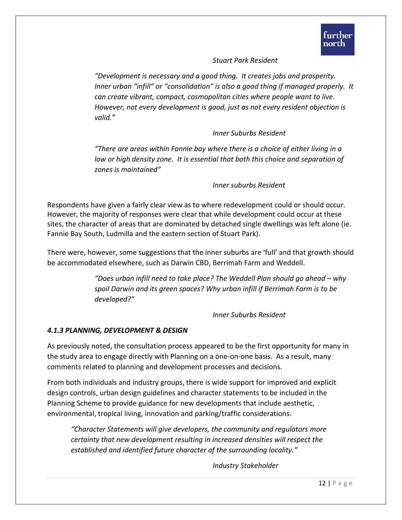#### *Stuart Park Resident*

*"Development is necessary and a good thing. It creates jobs and prosperity. Inner urban "infill" or "consolidation" is also a good thing if managed properly. It can create vibrant, compact, cosmopolitan cities where people want to live. However, not every development is good, just as not every resident objection is valid."*

## *Inner Suburbs Resident*

*"There are areas within Fannie bay where there is a choice of either living in a low or high density zone. It is essential that both this choice and separation of zones is maintained"*

#### *Inner suburbs Resident*

Respondents have given a fairly clear view as to where redevelopment could or should occur. However, the majority of responses were clear that while development could occur at these sites, the character of areas that are dominated by detached single dwellings was left alone (ie. Fannie Bay South, Ludmilla and the eastern section of Stuart Park).

There were, however, some suggestions that the inner suburbs are 'full' and that growth should be accommodated elsewhere, such as Darwin CBD, Berrimah Farm and Weddell.

> *"Does urban infill need to take place? The Weddell Plan should go ahead – why spoil Darwin and its green spaces? Why urban infill if Berrimah Farm is to be developed?"*

> > *Inner Suburbs Resident*

#### *4.1.3 PLANNING, DEVELOPMENT & DESIGN*

As previously noted, the consultation process appeared to be the first opportunity for many in the study area to engage directly with Planning on a one-on-one basis. As a result, many comments related to planning and development processes and decisions.

From both individuals and industry groups, there is wide support for improved and explicit design controls, urban design guidelines and character statements to be included in the Planning Scheme to provide guidance for new developments that include aesthetic, environmental, tropical living, innovation and parking/traffic considerations.

*"Character Statements will give developers, the community and regulators more certainty that new development resulting in increased densities will respect the established and identified future character of the surrounding locality."*

*Industry Stakeholder*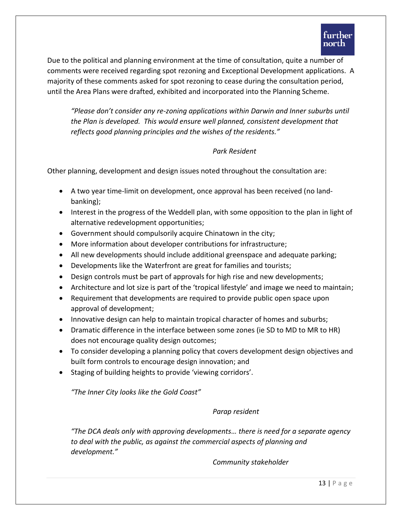Due to the political and planning environment at the time of consultation, quite a number of comments were received regarding spot rezoning and Exceptional Development applications. A majority of these comments asked for spot rezoning to cease during the consultation period, until the Area Plans were drafted, exhibited and incorporated into the Planning Scheme.

*"Please don't consider any re-zoning applications within Darwin and Inner suburbs until the Plan is developed. This would ensure well planned, consistent development that reflects good planning principles and the wishes of the residents."*

#### *Park Resident*

Other planning, development and design issues noted throughout the consultation are:

- A two year time-limit on development, once approval has been received (no landbanking);
- Interest in the progress of the Weddell plan, with some opposition to the plan in light of alternative redevelopment opportunities;
- Government should compulsorily acquire Chinatown in the city;
- More information about developer contributions for infrastructure;
- All new developments should include additional greenspace and adequate parking;
- Developments like the Waterfront are great for families and tourists;
- Design controls must be part of approvals for high rise and new developments;
- Architecture and lot size is part of the 'tropical lifestyle' and image we need to maintain;
- Requirement that developments are required to provide public open space upon approval of development;
- Innovative design can help to maintain tropical character of homes and suburbs;
- Dramatic difference in the interface between some zones (ie SD to MD to MR to HR) does not encourage quality design outcomes;
- To consider developing a planning policy that covers development design objectives and built form controls to encourage design innovation; and
- Staging of building heights to provide 'viewing corridors'.

*"The Inner City looks like the Gold Coast"*

*Parap resident*

*"The DCA deals only with approving developments… there is need for a separate agency to deal with the public, as against the commercial aspects of planning and development."*

*Community stakeholder*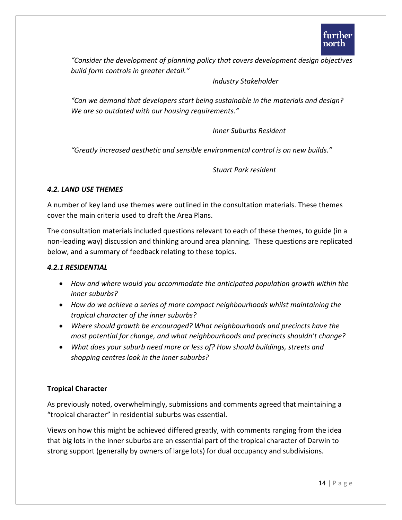*"Consider the development of planning policy that covers development design objectives build form controls in greater detail."*

*Industry Stakeholder* 

*"Can we demand that developers start being sustainable in the materials and design? We are so outdated with our housing requirements."*

*Inner Suburbs Resident*

*"Greatly increased aesthetic and sensible environmental control is on new builds."*

*Stuart Park resident*

#### *4.2. LAND USE THEMES*

A number of key land use themes were outlined in the consultation materials. These themes cover the main criteria used to draft the Area Plans.

The consultation materials included questions relevant to each of these themes, to guide (in a non-leading way) discussion and thinking around area planning. These questions are replicated below, and a summary of feedback relating to these topics.

#### *4.2.1 RESIDENTIAL*

- *How and where would you accommodate the anticipated population growth within the inner suburbs?*
- *How do we achieve a series of more compact neighbourhoods whilst maintaining the tropical character of the inner suburbs?*
- *Where should growth be encouraged? What neighbourhoods and precincts have the most potential for change, and what neighbourhoods and precincts shouldn't change?*
- *What does your suburb need more or less of? How should buildings, streets and shopping centres look in the inner suburbs?*

## **Tropical Character**

As previously noted, overwhelmingly, submissions and comments agreed that maintaining a "tropical character" in residential suburbs was essential.

Views on how this might be achieved differed greatly, with comments ranging from the idea that big lots in the inner suburbs are an essential part of the tropical character of Darwin to strong support (generally by owners of large lots) for dual occupancy and subdivisions.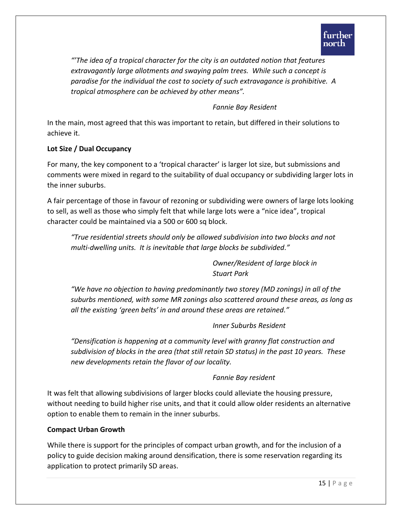*"'The idea of a tropical character for the city is an outdated notion that features extravagantly large allotments and swaying palm trees. While such a concept is paradise for the individual the cost to society of such extravagance is prohibitive. A tropical atmosphere can be achieved by other means".*

## *Fannie Bay Resident*

In the main, most agreed that this was important to retain, but differed in their solutions to achieve it.

## **Lot Size / Dual Occupancy**

For many, the key component to a 'tropical character' is larger lot size, but submissions and comments were mixed in regard to the suitability of dual occupancy or subdividing larger lots in the inner suburbs.

A fair percentage of those in favour of rezoning or subdividing were owners of large lots looking to sell, as well as those who simply felt that while large lots were a "nice idea", tropical character could be maintained via a 500 or 600 sq block.

*"True residential streets should only be allowed subdivision into two blocks and not multi-dwelling units. It is inevitable that large blocks be subdivided."* 

> *Owner/Resident of large block in Stuart Park*

*"We have no objection to having predominantly two storey (MD zonings) in all of the suburbs mentioned, with some MR zonings also scattered around these areas, as long as all the existing 'green belts' in and around these areas are retained."*

## *Inner Suburbs Resident*

*"Densification is happening at a community level with granny flat construction and subdivision of blocks in the area (that still retain SD status) in the past 10 years. These new developments retain the flavor of our locality.* 

## *Fannie Bay resident*

It was felt that allowing subdivisions of larger blocks could alleviate the housing pressure, without needing to build higher rise units, and that it could allow older residents an alternative option to enable them to remain in the inner suburbs.

## **Compact Urban Growth**

While there is support for the principles of compact urban growth, and for the inclusion of a policy to guide decision making around densification, there is some reservation regarding its application to protect primarily SD areas.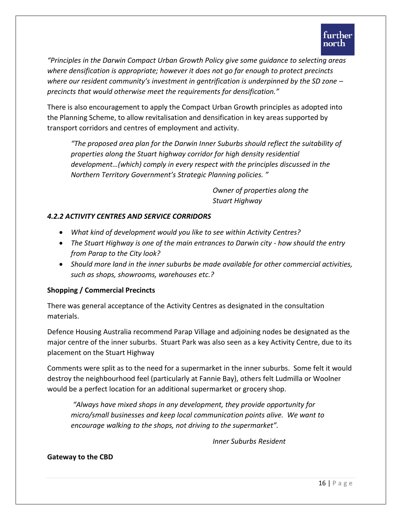*"Principles in the Darwin Compact Urban Growth Policy give some guidance to selecting areas where densification is appropriate; however it does not go far enough to protect precincts where our resident community's investment in gentrification is underpinned by the SD zone – precincts that would otherwise meet the requirements for densification."*

There is also encouragement to apply the Compact Urban Growth principles as adopted into the Planning Scheme, to allow revitalisation and densification in key areas supported by transport corridors and centres of employment and activity.

*"The proposed area plan for the Darwin Inner Suburbs should reflect the suitability of properties along the Stuart highway corridor for high density residential development…(which) comply in every respect with the principles discussed in the Northern Territory Government's Strategic Planning policies. "*

> *Owner of properties along the Stuart Highway*

## *4.2.2 ACTIVITY CENTRES AND SERVICE CORRIDORS*

- *What kind of development would you like to see within Activity Centres?*
- *The Stuart Highway is one of the main entrances to Darwin city - how should the entry from Parap to the City look?*
- *Should more land in the inner suburbs be made available for other commercial activities, such as shops, showrooms, warehouses etc.?*

## **Shopping / Commercial Precincts**

There was general acceptance of the Activity Centres as designated in the consultation materials.

Defence Housing Australia recommend Parap Village and adjoining nodes be designated as the major centre of the inner suburbs. Stuart Park was also seen as a key Activity Centre, due to its placement on the Stuart Highway

Comments were split as to the need for a supermarket in the inner suburbs. Some felt it would destroy the neighbourhood feel (particularly at Fannie Bay), others felt Ludmilla or Woolner would be a perfect location for an additional supermarket or grocery shop.

*"Always have mixed shops in any development, they provide opportunity for micro/small businesses and keep local communication points alive. We want to encourage walking to the shops, not driving to the supermarket".*

*Inner Suburbs Resident*

**Gateway to the CBD**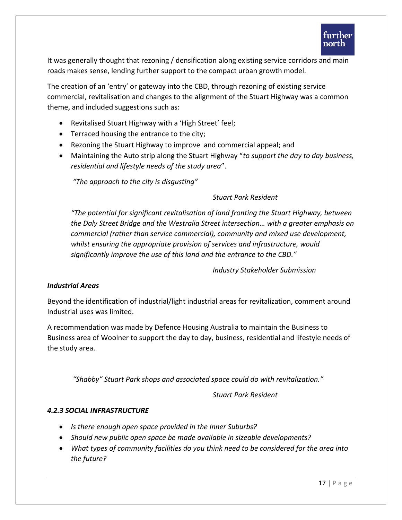It was generally thought that rezoning / densification along existing service corridors and main roads makes sense, lending further support to the compact urban growth model.

The creation of an 'entry' or gateway into the CBD, through rezoning of existing service commercial, revitalisation and changes to the alignment of the Stuart Highway was a common theme, and included suggestions such as:

- Revitalised Stuart Highway with a 'High Street' feel;
- Terraced housing the entrance to the city;
- Rezoning the Stuart Highway to improve and commercial appeal; and
- Maintaining the Auto strip along the Stuart Highway "*to support the day to day business, residential and lifestyle needs of the study area*".

*"The approach to the city is disgusting"* 

## *Stuart Park Resident*

*"The potential for significant revitalisation of land fronting the Stuart Highway, between the Daly Street Bridge and the Westralia Street intersection… with a greater emphasis on commercial (rather than service commercial), community and mixed use development, whilst ensuring the appropriate provision of services and infrastructure, would significantly improve the use of this land and the entrance to the CBD."*

*Industry Stakeholder Submission* 

## *Industrial Areas*

Beyond the identification of industrial/light industrial areas for revitalization, comment around Industrial uses was limited.

A recommendation was made by Defence Housing Australia to maintain the Business to Business area of Woolner to support the day to day, business, residential and lifestyle needs of the study area.

*"Shabby" Stuart Park shops and associated space could do with revitalization."*

*Stuart Park Resident*

## *4.2.3 SOCIAL INFRASTRUCTURE*

- *Is there enough open space provided in the Inner Suburbs?*
- *Should new public open space be made available in sizeable developments?*
- *What types of community facilities do you think need to be considered for the area into the future?*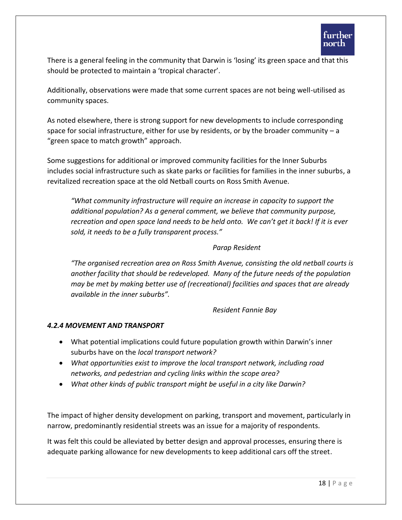There is a general feeling in the community that Darwin is 'losing' its green space and that this should be protected to maintain a 'tropical character'.

Additionally, observations were made that some current spaces are not being well-utilised as community spaces.

As noted elsewhere, there is strong support for new developments to include corresponding space for social infrastructure, either for use by residents, or by the broader community  $-a$ "green space to match growth" approach.

Some suggestions for additional or improved community facilities for the Inner Suburbs includes social infrastructure such as skate parks or facilities for families in the inner suburbs, a revitalized recreation space at the old Netball courts on Ross Smith Avenue.

*"What community infrastructure will require an increase in capacity to support the additional population? As a general comment, we believe that community purpose, recreation and open space land needs to be held onto. We can't get it back! If it is ever sold, it needs to be a fully transparent process."*

## *Parap Resident*

*"The organised recreation area on Ross Smith Avenue, consisting the old netball courts is another facility that should be redeveloped. Many of the future needs of the population may be met by making better use of (recreational) facilities and spaces that are already available in the inner suburbs".*

*Resident Fannie Bay*

## *4.2.4 MOVEMENT AND TRANSPORT*

- What potential implications could future population growth within Darwin's inner suburbs have on the *local transport network?*
- *What opportunities exist to improve the local transport network, including road networks, and pedestrian and cycling links within the scope area?*
- *What other kinds of public transport might be useful in a city like Darwin?*

The impact of higher density development on parking, transport and movement, particularly in narrow, predominantly residential streets was an issue for a majority of respondents.

It was felt this could be alleviated by better design and approval processes, ensuring there is adequate parking allowance for new developments to keep additional cars off the street.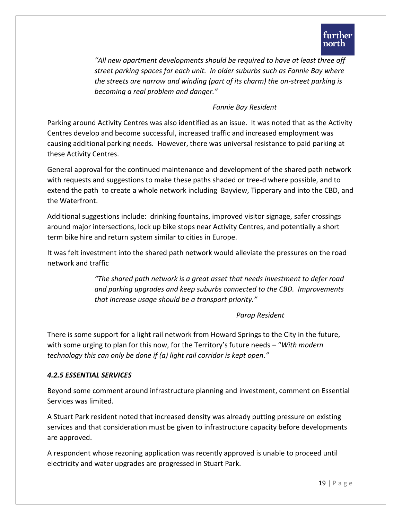

*"All new apartment developments should be required to have at least three off street parking spaces for each unit. In older suburbs such as Fannie Bay where the streets are narrow and winding (part of its charm) the on-street parking is becoming a real problem and danger."*

#### *Fannie Bay Resident*

Parking around Activity Centres was also identified as an issue. It was noted that as the Activity Centres develop and become successful, increased traffic and increased employment was causing additional parking needs. However, there was universal resistance to paid parking at these Activity Centres.

General approval for the continued maintenance and development of the shared path network with requests and suggestions to make these paths shaded or tree-d where possible, and to extend the path to create a whole network including Bayview, Tipperary and into the CBD, and the Waterfront.

Additional suggestions include: drinking fountains, improved visitor signage, safer crossings around major intersections, lock up bike stops near Activity Centres, and potentially a short term bike hire and return system similar to cities in Europe.

It was felt investment into the shared path network would alleviate the pressures on the road network and traffic

> *"The shared path network is a great asset that needs investment to defer road and parking upgrades and keep suburbs connected to the CBD. Improvements that increase usage should be a transport priority."*

#### *Parap Resident*

There is some support for a light rail network from Howard Springs to the City in the future, with some urging to plan for this now, for the Territory's future needs – "*With modern technology this can only be done if (a) light rail corridor is kept open."*

#### *4.2.5 ESSENTIAL SERVICES*

Beyond some comment around infrastructure planning and investment, comment on Essential Services was limited.

A Stuart Park resident noted that increased density was already putting pressure on existing services and that consideration must be given to infrastructure capacity before developments are approved.

A respondent whose rezoning application was recently approved is unable to proceed until electricity and water upgrades are progressed in Stuart Park.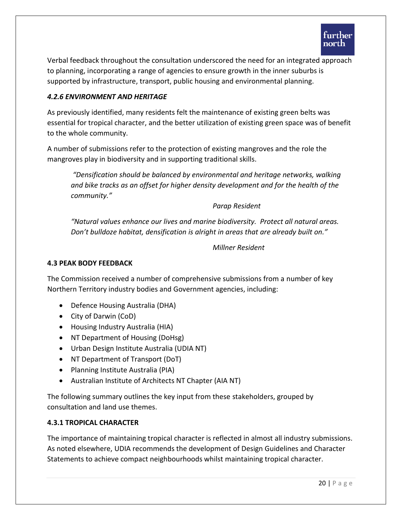

Verbal feedback throughout the consultation underscored the need for an integrated approach to planning, incorporating a range of agencies to ensure growth in the inner suburbs is supported by infrastructure, transport, public housing and environmental planning.

#### *4.2.6 ENVIRONMENT AND HERITAGE*

As previously identified, many residents felt the maintenance of existing green belts was essential for tropical character, and the better utilization of existing green space was of benefit to the whole community.

A number of submissions refer to the protection of existing mangroves and the role the mangroves play in biodiversity and in supporting traditional skills.

*"Densification should be balanced by environmental and heritage networks, walking and bike tracks as an offset for higher density development and for the health of the community."*

*Parap Resident*

*"Natural values enhance our lives and marine biodiversity. Protect all natural areas. Don't bulldoze habitat, densification is alright in areas that are already built on."*

*Millner Resident*

#### **4.3 PEAK BODY FEEDBACK**

The Commission received a number of comprehensive submissions from a number of key Northern Territory industry bodies and Government agencies, including:

- Defence Housing Australia (DHA)
- City of Darwin (CoD)
- Housing Industry Australia (HIA)
- NT Department of Housing (DoHsg)
- Urban Design Institute Australia (UDIA NT)
- NT Department of Transport (DoT)
- Planning Institute Australia (PIA)
- Australian Institute of Architects NT Chapter (AIA NT)

The following summary outlines the key input from these stakeholders, grouped by consultation and land use themes.

#### **4.3.1 TROPICAL CHARACTER**

The importance of maintaining tropical character is reflected in almost all industry submissions. As noted elsewhere, UDIA recommends the development of Design Guidelines and Character Statements to achieve compact neighbourhoods whilst maintaining tropical character.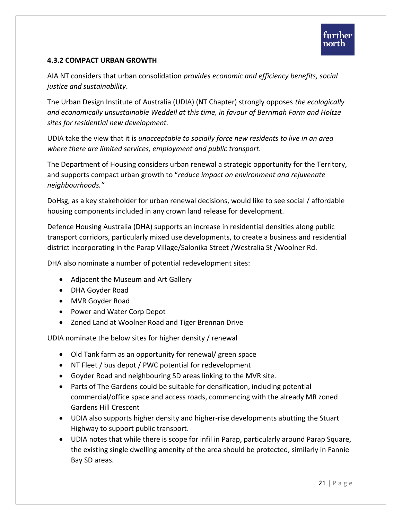#### **4.3.2 COMPACT URBAN GROWTH**

AIA NT considers that urban consolidation *provides economic and efficiency benefits, social justice and sustainability*.

The Urban Design Institute of Australia (UDIA) (NT Chapter) strongly opposes *the ecologically and economically unsustainable Weddell at this time, in favour of Berrimah Farm and Holtze sites for residential new development.* 

UDIA take the view that it is *unacceptable to socially force new residents to live in an area where there are limited services, employment and public transport.*

The Department of Housing considers urban renewal a strategic opportunity for the Territory, and supports compact urban growth to "*reduce impact on environment and rejuvenate neighbourhoods."*

DoHsg, as a key stakeholder for urban renewal decisions, would like to see social / affordable housing components included in any crown land release for development.

Defence Housing Australia (DHA) supports an increase in residential densities along public transport corridors, particularly mixed use developments, to create a business and residential district incorporating in the Parap Village/Salonika Street /Westralia St /Woolner Rd.

DHA also nominate a number of potential redevelopment sites:

- Adjacent the Museum and Art Gallery
- DHA Goyder Road
- MVR Goyder Road
- Power and Water Corp Depot
- Zoned Land at Woolner Road and Tiger Brennan Drive

UDIA nominate the below sites for higher density / renewal

- Old Tank farm as an opportunity for renewal/ green space
- NT Fleet / bus depot / PWC potential for redevelopment
- Goyder Road and neighbouring SD areas linking to the MVR site.
- Parts of The Gardens could be suitable for densification, including potential commercial/office space and access roads, commencing with the already MR zoned Gardens Hill Crescent
- UDIA also supports higher density and higher-rise developments abutting the Stuart Highway to support public transport.
- UDIA notes that while there is scope for infil in Parap, particularly around Parap Square, the existing single dwelling amenity of the area should be protected, similarly in Fannie Bay SD areas.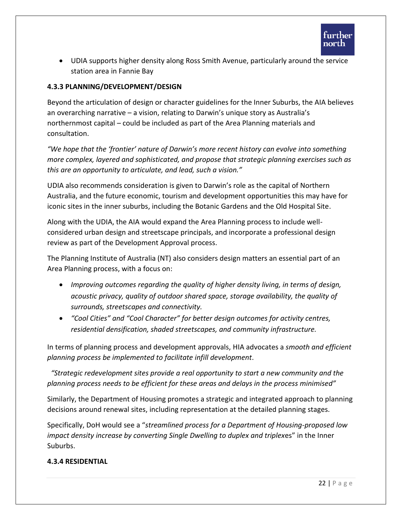

 UDIA supports higher density along Ross Smith Avenue, particularly around the service station area in Fannie Bay

#### **4.3.3 PLANNING/DEVELOPMENT/DESIGN**

Beyond the articulation of design or character guidelines for the Inner Suburbs, the AIA believes an overarching narrative – a vision, relating to Darwin's unique story as Australia's northernmost capital – could be included as part of the Area Planning materials and consultation.

*"We hope that the 'frontier' nature of Darwin's more recent history can evolve into something more complex, layered and sophisticated, and propose that strategic planning exercises such as this are an opportunity to articulate, and lead, such a vision."*

UDIA also recommends consideration is given to Darwin's role as the capital of Northern Australia, and the future economic, tourism and development opportunities this may have for iconic sites in the inner suburbs, including the Botanic Gardens and the Old Hospital Site.

Along with the UDIA, the AIA would expand the Area Planning process to include wellconsidered urban design and streetscape principals, and incorporate a professional design review as part of the Development Approval process.

The Planning Institute of Australia (NT) also considers design matters an essential part of an Area Planning process, with a focus on:

- *Improving outcomes regarding the quality of higher density living, in terms of design, acoustic privacy, quality of outdoor shared space, storage availability, the quality of surrounds, streetscapes and connectivity.*
- *"Cool Cities" and "Cool Character" for better design outcomes for activity centres, residential densification, shaded streetscapes, and community infrastructure.*

In terms of planning process and development approvals, HIA advocates a *smooth and efficient planning process be implemented to facilitate infill development*.

 *"Strategic redevelopment sites provide a real opportunity to start a new community and the planning process needs to be efficient for these areas and delays in the process minimised"*

Similarly, the Department of Housing promotes a strategic and integrated approach to planning decisions around renewal sites, including representation at the detailed planning stages.

Specifically, DoH would see a "*streamlined process for a Department of Housing-proposed low impact density increase by converting Single Dwelling to duplex and triplex*es" in the Inner Suburbs.

#### **4.3.4 RESIDENTIAL**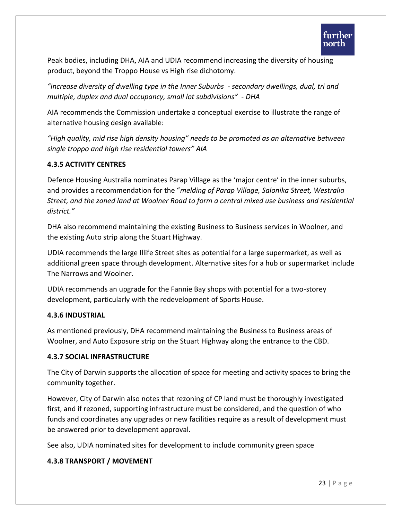Peak bodies, including DHA, AIA and UDIA recommend increasing the diversity of housing product, beyond the Troppo House vs High rise dichotomy.

*"Increase diversity of dwelling type in the Inner Suburbs - secondary dwellings, dual, tri and multiple, duplex and dual occupancy, small lot subdivisions" - DHA*

AIA recommends the Commission undertake a conceptual exercise to illustrate the range of alternative housing design available:

*"High quality, mid rise high density housing" needs to be promoted as an alternative between single troppo and high rise residential towers" AIA*

## **4.3.5 ACTIVITY CENTRES**

Defence Housing Australia nominates Parap Village as the 'major centre' in the inner suburbs, and provides a recommendation for the "*melding of Parap Village, Salonika Street, Westralia Street, and the zoned land at Woolner Road to form a central mixed use business and residential district."*

DHA also recommend maintaining the existing Business to Business services in Woolner, and the existing Auto strip along the Stuart Highway.

UDIA recommends the large Illife Street sites as potential for a large supermarket, as well as additional green space through development. Alternative sites for a hub or supermarket include The Narrows and Woolner.

UDIA recommends an upgrade for the Fannie Bay shops with potential for a two-storey development, particularly with the redevelopment of Sports House.

## **4.3.6 INDUSTRIAL**

As mentioned previously, DHA recommend maintaining the Business to Business areas of Woolner, and Auto Exposure strip on the Stuart Highway along the entrance to the CBD.

## **4.3.7 SOCIAL INFRASTRUCTURE**

The City of Darwin supports the allocation of space for meeting and activity spaces to bring the community together.

However, City of Darwin also notes that rezoning of CP land must be thoroughly investigated first, and if rezoned, supporting infrastructure must be considered, and the question of who funds and coordinates any upgrades or new facilities require as a result of development must be answered prior to development approval.

See also, UDIA nominated sites for development to include community green space

## **4.3.8 TRANSPORT / MOVEMENT**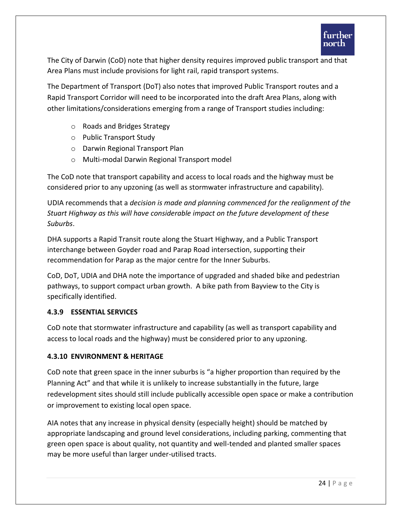The City of Darwin (CoD) note that higher density requires improved public transport and that Area Plans must include provisions for light rail, rapid transport systems.

The Department of Transport (DoT) also notes that improved Public Transport routes and a Rapid Transport Corridor will need to be incorporated into the draft Area Plans, along with other limitations/considerations emerging from a range of Transport studies including:

- o Roads and Bridges Strategy
- o Public Transport Study
- o Darwin Regional Transport Plan
- o Multi-modal Darwin Regional Transport model

The CoD note that transport capability and access to local roads and the highway must be considered prior to any upzoning (as well as stormwater infrastructure and capability).

UDIA recommends that a *decision is made and planning commenced for the realignment of the Stuart Highway as this will have considerable impact on the future development of these Suburbs*.

DHA supports a Rapid Transit route along the Stuart Highway, and a Public Transport interchange between Goyder road and Parap Road intersection, supporting their recommendation for Parap as the major centre for the Inner Suburbs.

CoD, DoT, UDIA and DHA note the importance of upgraded and shaded bike and pedestrian pathways, to support compact urban growth. A bike path from Bayview to the City is specifically identified.

## **4.3.9 ESSENTIAL SERVICES**

CoD note that stormwater infrastructure and capability (as well as transport capability and access to local roads and the highway) must be considered prior to any upzoning.

## **4.3.10 ENVIRONMENT & HERITAGE**

CoD note that green space in the inner suburbs is "a higher proportion than required by the Planning Act" and that while it is unlikely to increase substantially in the future, large redevelopment sites should still include publically accessible open space or make a contribution or improvement to existing local open space.

AIA notes that any increase in physical density (especially height) should be matched by appropriate landscaping and ground level considerations, including parking, commenting that green open space is about quality, not quantity and well-tended and planted smaller spaces may be more useful than larger under-utilised tracts.